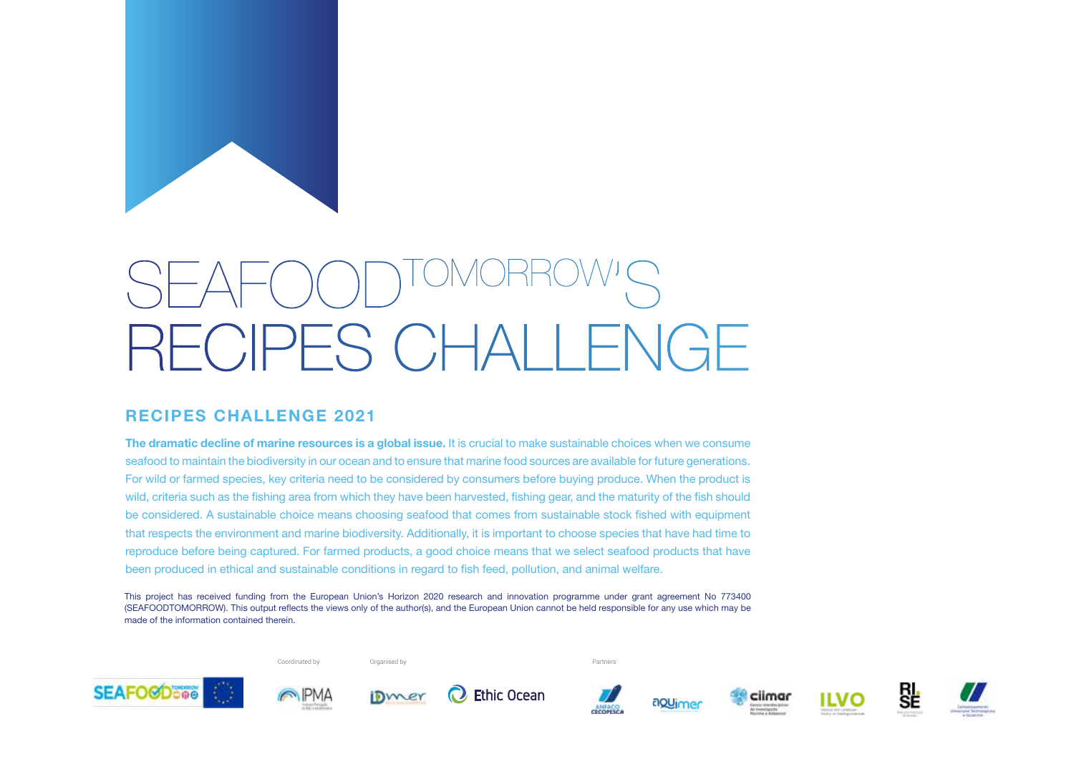

# SEAFOODTOMORROW'S RECIPES CHALLENGE

#### **RECIPES CHALLENGE 2021**

**The dramatic decline of marine resources is a global issue.** It is crucial to make sustainable choices when we consume seafood to maintain the biodiversity in our ocean and to ensure that marine food sources are available for future generations. For wild or farmed species, key criteria need to be considered by consumers before buying produce. When the product is wild, criteria such as the fishing area from which they have been harvested, fishing gear, and the maturity of the fish should be considered. A sustainable choice means choosing seafood that comes from sustainable stock fished with equipment that respects the environment and marine biodiversity. Additionally, it is important to choose species that have had time to reproduce before being captured. For farmed products, a good choice means that we select seafood products that have been produced in ethical and sustainable conditions in regard to fish feed, pollution, and animal welfare.

This project has received funding from the European Union's Horizon 2020 research and innovation programme under grant agreement No 773400 (SEAFOODTOMORROW). This output reflects the views only of the author(s), and the European Union cannot be held responsible for any use which may be made of the information contained therein.

Coordinated by Contact Contact Contact Coordinated by Partners Coordinated by Partners Coordinated by Partners

**SEAFO@Done** 















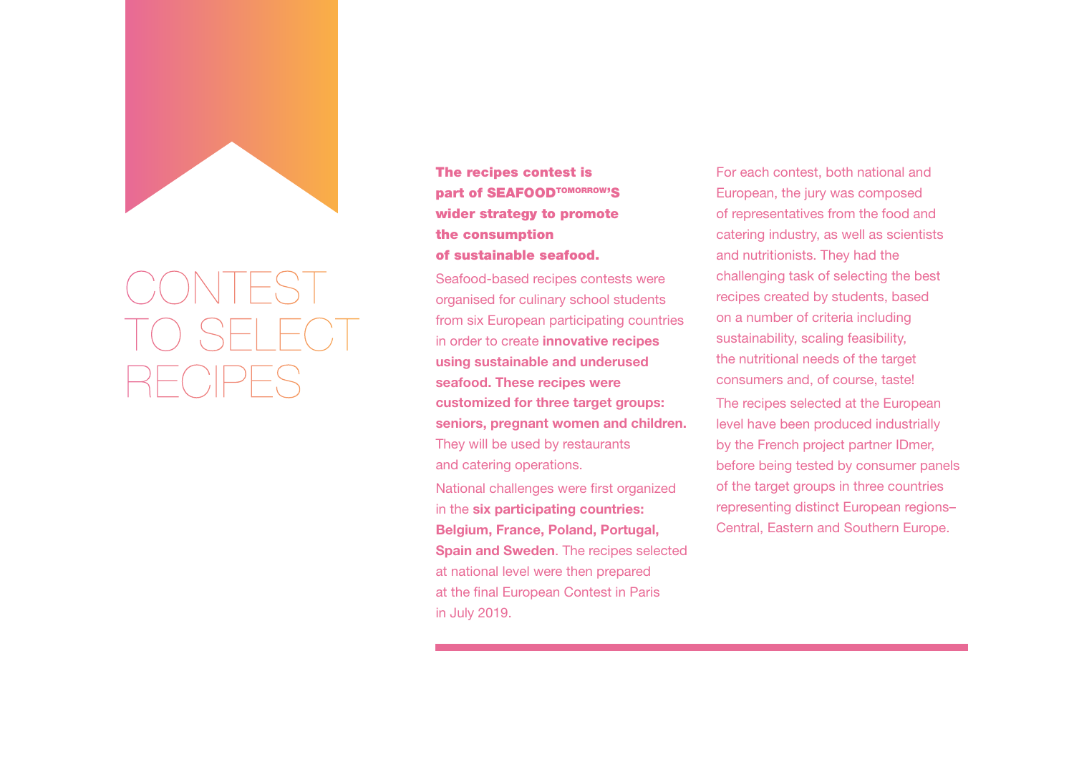The recipes contest is part of SEAFOODTOMORROW'S wider strategy to promote the consumption of sustainable seafood.

Seafood-based recipes contests were organised for culinary school students from six European participating countries in order to create **innovative recipes using sustainable and underused seafood. These recipes were customized for three target groups: seniors, pregnant women and children.** They will be used by restaurants and catering operations.

National challenges were first organized in the **six participating countries: Belgium, France, Poland, Portugal, Spain and Sweden**. The recipes selected at national level were then prepared at the final European Contest in Paris in July 2019.



## CONTEST TO SELECT  $\Gamma_{\mathsf{L}}$  ( )  $\Box$

For each contest, both national and European, the jury was composed of representatives from the food and catering industry, as well as scientists and nutritionists. They had the challenging task of selecting the best recipes created by students, based on a number of criteria including sustainability, scaling feasibility, the nutritional needs of the target consumers and, of course, taste! The recipes selected at the European level have been produced industrially by the French project partner IDmer, before being tested by consumer panels of the target groups in three countries representing distinct European regions– Central, Eastern and Southern Europe.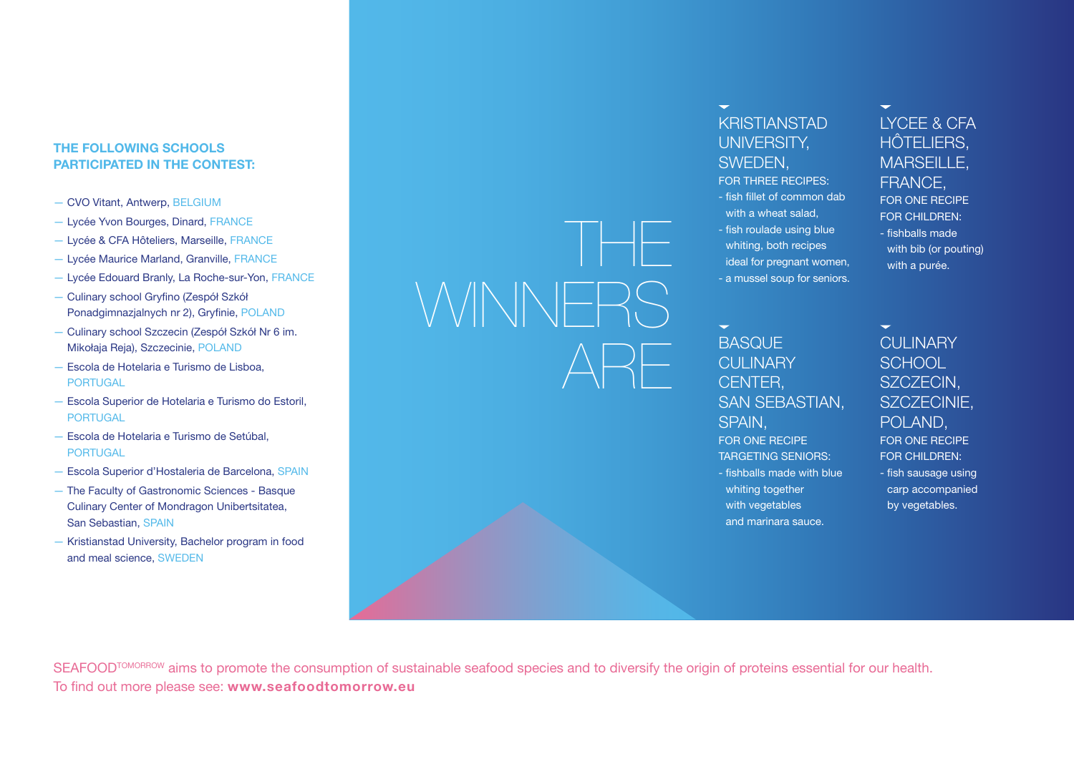#### **THE FOLLOWING SCHOOLS PARTICIPATED IN THE CONTEST:**

- CVO Vitant, Antwerp, BELGIUM
- Lycée Yvon Bourges, Dinard, FRANCE
- Lycée & CFA Hôteliers, Marseille, FRANCE
- Lycée Maurice Marland, Granville, FRANCE
- Lycée Edouard Branly, La Roche-sur-Yon, FRANCE
- Culinary school Gryfino (Zespół Szkół Ponadgimnazjalnych nr 2), Gryfinie, POLAND
- Culinary school Szczecin (Zespół Szkół Nr 6 im. Mikołaja Reja), Szczecinie, POLAND
- Escola de Hotelaria e Turismo de Lisboa, PORTUGAL
- Escola Superior de Hotelaria e Turismo do Estoril, PORTUGAL
- Escola de Hotelaria e Turismo de Setúbal, **PORTUGAL**
- Escola Superior d'Hostaleria de Barcelona, SPAIN
- The Faculty of Gastronomic Sciences Basque Culinary Center of Mondragon Unibertsitatea, San Sebastian, SPAIN
- Kristianstad University, Bachelor program in food and meal science, SWEDEN

SEAFOOD<sup>TOMORROW</sup> aims to promote the consumption of sustainable seafood species and to diversify the origin of proteins essential for our health. To find out more please see: **www.seafoodtomorrow.eu**

THE WINNERS  $\triangle$ R $\vdash$ 

#### $\overline{\phantom{0}}$ **BASQUE CULINARY** CENTER, SAN SEBASTIAN, SPAIN,

**CULINARY SCHOOL** SZCZECIN, SZCZECINIE, POLAND, FOR ONE RECIPE FOR CHILDREN: - fish sausage using

### KRISTIANSTAD UNIVERSITY, SWEDEN,

 $\overline{\phantom{0}}$ 

- FOR THREE RECIPES:
- fish fillet of common dab with a wheat salad.
- fish roulade using blue whiting, both recipes ideal for pregnant women,
- a mussel soup for seniors.

FOR ONE RECIPE TARGETING SENIORS: - fishballs made with blue whiting together with vegetables and marinara sauce.

LYCEE & CFA HÔTELIERS, MARSEILLE, FRANCE, FOR ONE RECIPE FOR CHILDREN: - fishballs made with bib (or pouting) with a purée.

carp accompanied by vegetables.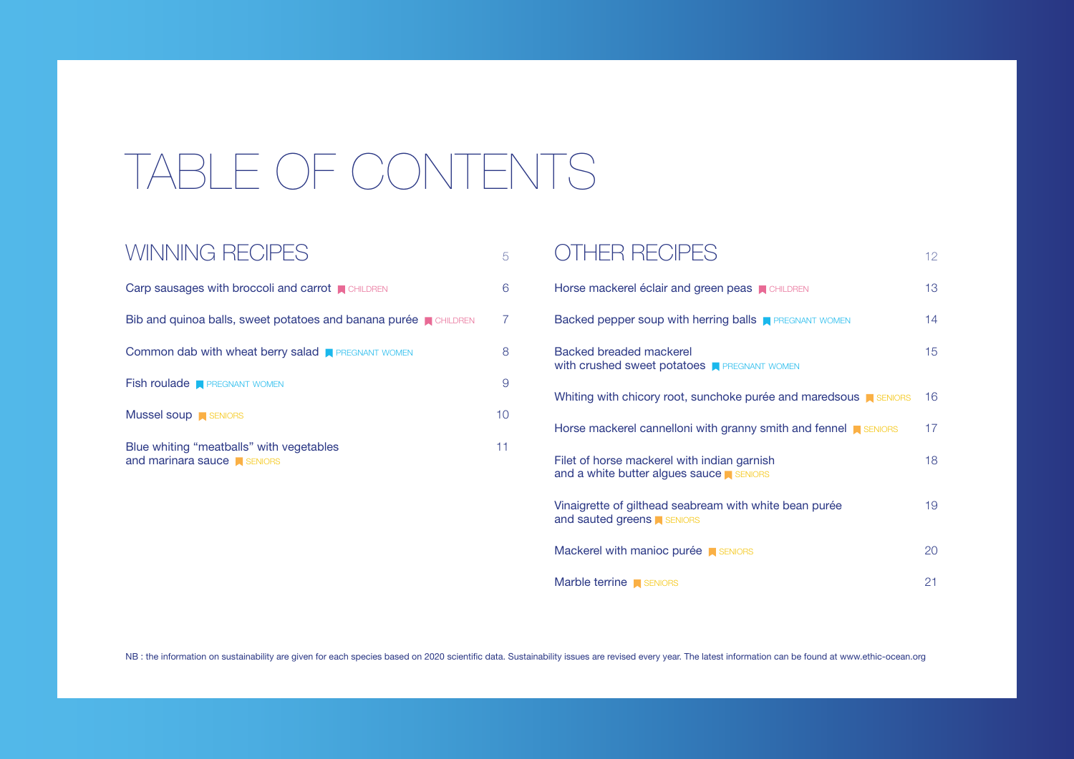| Horse mackerel éclair and green peas <b>N</b> CHILDREN                                       | 13 <sup>°</sup> |
|----------------------------------------------------------------------------------------------|-----------------|
| Backed pepper soup with herring balls <b>R</b> PREGNANT WOMEN                                | 14              |
| <b>Backed breaded mackerel</b><br>with crushed sweet potatoes <b>FI PREGNANT WOMEN</b>       | 15 <sub>1</sub> |
| Whiting with chicory root, sunchoke purée and maredsous <b>N</b> SENIORS                     | 16              |
| Horse mackerel cannelloni with granny smith and fennel <b>A</b> SENIORS                      | 17 <sup>2</sup> |
| Filet of horse mackerel with indian garnish<br>and a white butter algues sauce serviors      | 18              |
| Vinaigrette of gilthead seabream with white bean purée<br>and sauted greens <b>A SENIORS</b> | 19              |
| Mackerel with manioc purée <b>N</b> SENIORS                                                  | 20              |
| Marble terrine <b>SENIORS</b>                                                                | 21              |

NB : the information on sustainability are given for each species based on 2020 scientific data. Sustainability issues are revised every year. The latest information can be found at www.ethic-ocean.org

## TABLE OF CONTENTS

### WINNING RECIPES

| Carp sausages with broccoli and carrot $\blacksquare$ CHILDREN          |    |
|-------------------------------------------------------------------------|----|
| Bib and quinoa balls, sweet potatoes and banana purée <b>N</b> CHILDREN | 7  |
| <b>Common dab with wheat berry salad A PREGNANT WOMEN</b>               |    |
| <b>Fish roulade R</b> PREGNANT WOMEN                                    |    |
| <b>Mussel soup</b> SENIORS                                              | 10 |
| Blue whiting "meatballs" with vegetables                                |    |

and marinara sauce  $\blacksquare$  SENIORS

### 5 OTHER RECIPES [12](#page-11-0)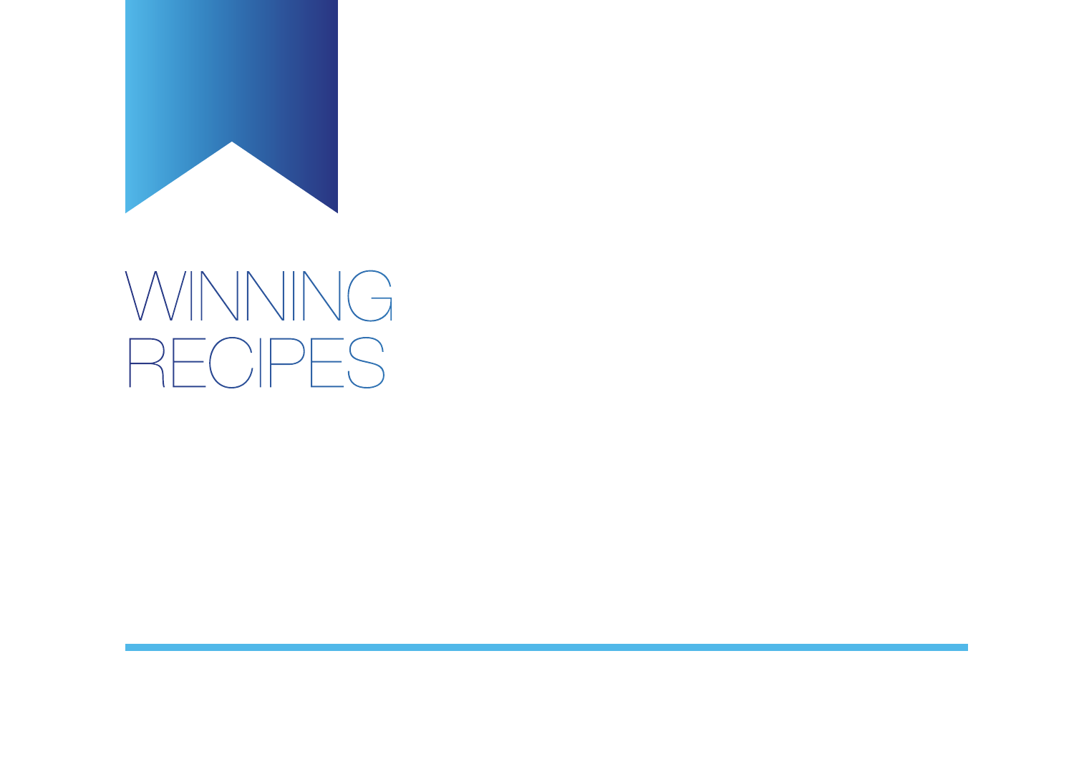<span id="page-4-0"></span>

# WINNING RECIPES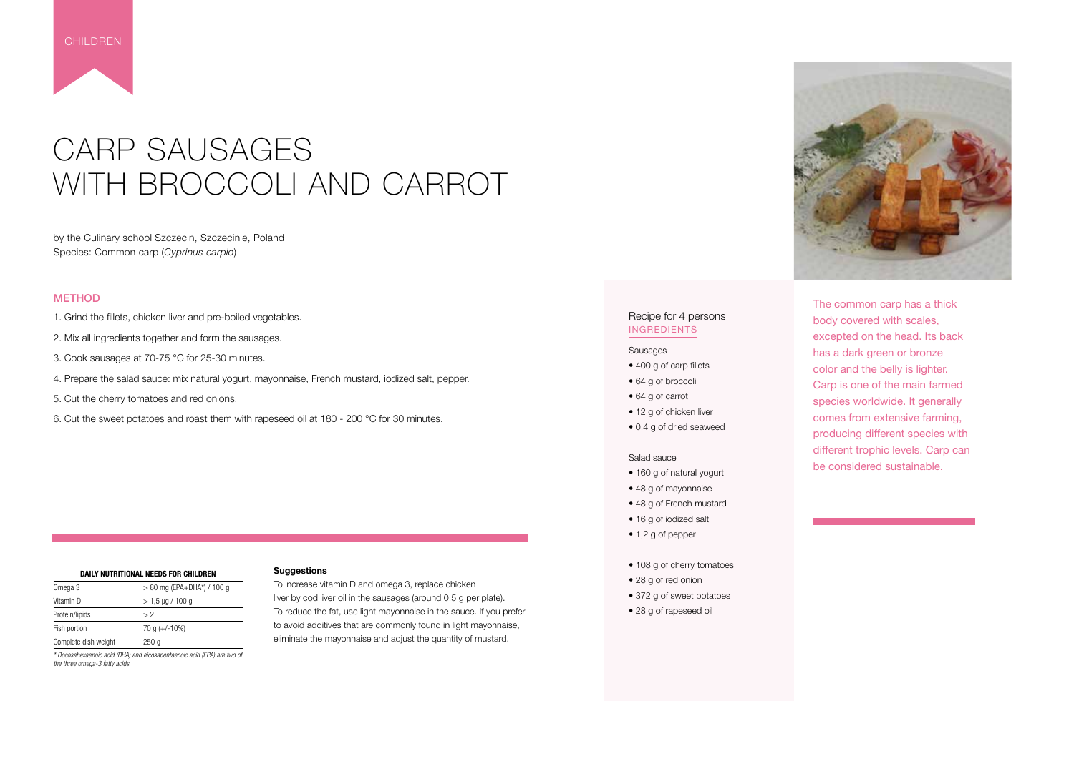### CARP SAUSAGES WITH BROCCOLI AND CARROT

by the Culinary school Szczecin, Szczecinie, Poland Species: Common carp (*Cyprinus carpio*)

#### **METHOD**

- 1. Grind the fillets, chicken liver and pre-boiled vegetables.
- 2. Mix all ingredients together and form the sausages.
- 3. Cook sausages at 70-75 °C for 25-30 minutes.
- 4. Prepare the salad sauce: mix natural yogurt, mayonnaise, French mustard, iodized salt, pepper.
- 5. Cut the cherry tomatoes and red onions.
- 6. Cut the sweet potatoes and roast them with rapeseed oil at 180 200 °C for 30 minutes.

#### **Suggestions**

To increase vitamin D and omega 3, replace chicken liver by cod liver oil in the sausages (around 0,5 g per plate). To reduce the fat, use light mayonnaise in the sauce. If you prefer to avoid additives that are commonly found in light mayonnaise, eliminate the mayonnaise and adjust the quantity of mustard.

- 400 g of carp fillets
- 64 g of broccoli
- 64 g of carrot
- 12 g of chicken liver
- 0,4 g of dried seaweed

| DAILY NUTRITIONAL NEEDS FOR CHILDREN |                              |
|--------------------------------------|------------------------------|
| Omega 3                              | $> 80$ mg (EPA+DHA*) / 100 g |
| Vitamin D                            | $> 1.5 \mu g / 100 g$        |
| Protein/lipids                       | > 2                          |
| Fish portion                         | 70 g $(+/-10\%)$             |
| Complete dish weight                 | 250 g                        |

*\* Docosahexaenoic acid (DHA) and eicosapentaenoic acid (EPA) are two of the three omega-3 fatty acids.*



<span id="page-5-0"></span>

The common carp has a thick body covered with scales, excepted on the head. Its back has a dark green or bronze color and the belly is lighter. Carp is one of the main farmed species worldwide. It generally comes from extensive farming, producing different species with different trophic levels. Carp can be considered sustainable.

#### Recipe for 4 persons INGREDIENTS

#### Sausages

#### Salad sauce

- 160 g of natural yogurt
- 48 g of mayonnaise
- 48 g of French mustard
- 16 g of iodized salt
- 1,2 g of pepper
- 108 g of cherry tomatoes
- 28 g of red onion
- 372 g of sweet potatoes
- 28 g of rapeseed oil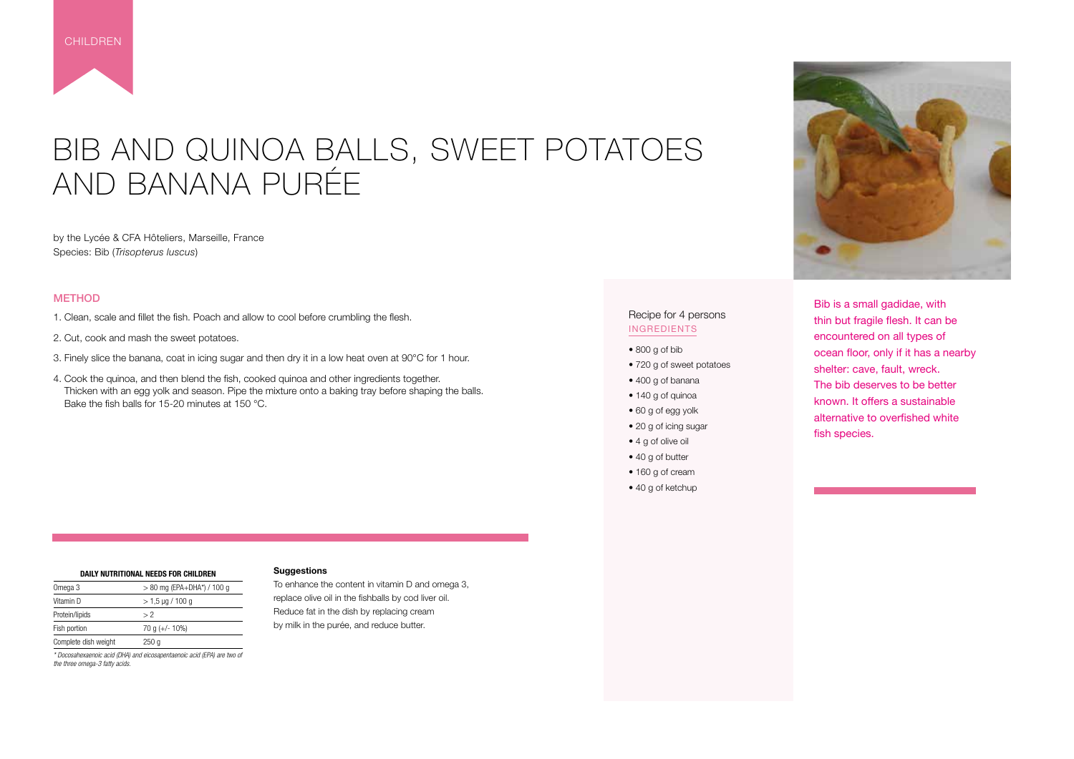### BIB AND QUINOA BALLS, SWEET POTATOES AND BANANA PURÉE

by the Lycée & CFA Hôteliers, Marseille, France Species: Bib (*Trisopterus luscus*)

#### **METHOD**

- 1. Clean, scale and fillet the fish. Poach and allow to cool before crumbling the flesh.
- 2. Cut, cook and mash the sweet potatoes.
- 3. Finely slice the banana, coat in icing sugar and then dry it in a low heat oven at 90°C for 1 hour.
- 4. Cook the quinoa, and then blend the fish, cooked quinoa and other ingredients together. Thicken with an egg yolk and season. Pipe the mixture onto a baking tray before shaping the balls. Bake the fish balls for 15-20 minutes at 150 °C.
- 800 g of bib
- 720 g of sweet potatoes
- 400 g of banana
- 140 g of quinoa
- 60 g of egg yolk
- 20 g of icing sugar
- 4 g of olive oil
- 40 g of butter
- 160 g of cream
- 40 g of ketchup

<span id="page-6-0"></span>

Bib is a small gadidae, with thin but fragile flesh. It can be encountered on all types of ocean floor, only if it has a nearby shelter: cave, fault, wreck. The bib deserves to be better known. It offers a sustainable alternative to overfished white fish species.

#### Recipe for 4 persons INGREDIENTS

#### **Suggestions**

To enhance the content in vitamin D and omega 3, replace olive oil in the fishballs by cod liver oil. Reduce fat in the dish by replacing cream by milk in the purée, and reduce butter.



| DAILY NUTRITIONAL NEEDS FOR CHILDREN |                              |  |
|--------------------------------------|------------------------------|--|
| Omega 3                              | $> 80$ mg (EPA+DHA*) / 100 g |  |
| Vitamin D                            | $> 1.5 \,\mu g / 100 \, g$   |  |
| Protein/lipids                       | > 2                          |  |
| Fish portion                         | 70 g $(+/- 10\%)$            |  |
| Complete dish weight                 | 250q                         |  |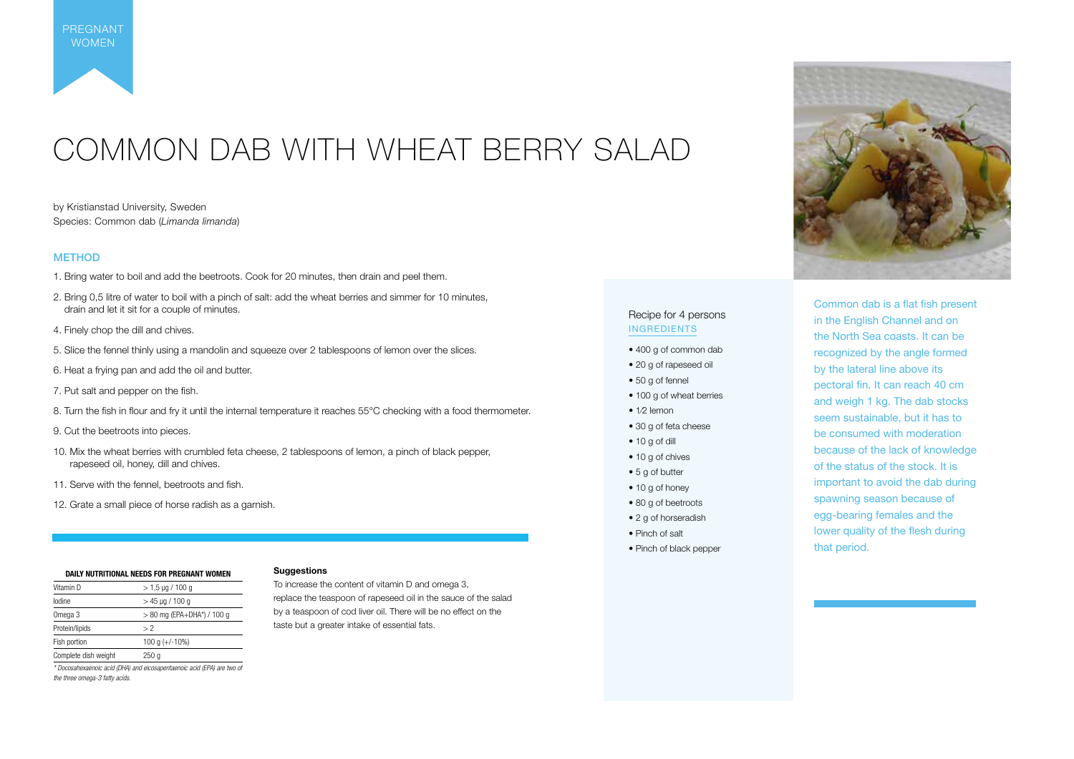## COMMON DAB WITH WHEAT BERRY SALAD

by Kristianstad University, Sweden Species: Common dab (*Limanda limanda*)

#### **METHOD**

- 1. Bring water to boil and add the beetroots. Cook for 20 minutes, then drain and peel them.
- 2. Bring 0,5 litre of water to boil with a pinch of salt: add the wheat berries and simmer for 10 minutes, drain and let it sit for a couple of minutes.
- 4. Finely chop the dill and chives.
- 5. Slice the fennel thinly using a mandolin and squeeze over 2 tablespoons of lemon over the slices.
- 6. Heat a frying pan and add the oil and butter.
- 7. Put salt and pepper on the fish.
- 8. Turn the fish in flour and fry it until the internal temperature it reaches 55°C checking with a food thermometer.
- 9. Cut the beetroots into pieces.
- 10. Mix the wheat berries with crumbled feta cheese, 2 tablespoons of lemon, a pinch of black pepper, rapeseed oil, honey, dill and chives.
- 11. Serve with the fennel, beetroots and fish.
- 12. Grate a small piece of horse radish as a garnish.

<span id="page-7-0"></span>PREGNANT WOMEN

> Common dab is a flat fish present in the English Channel and on the North Sea coasts. It can be recognized by the angle formed by the lateral line above its pectoral fin. It can reach 40 cm and weigh 1 kg. The dab stocks seem sustainable, but it has to be consumed with moderation because of the lack of knowledge of the status of the stock. It is important to avoid the dab during spawning season because of egg-bearing females and the lower quality of the flesh during that period.

#### Recipe for 4 persons INGREDIENTS

- 400 g of common dab
- 20 g of rapeseed oil
- 50 g of fennel
- 100 g of wheat berries
- 1/2 lemon
- 30 g of feta cheese
- 10 g of dill
- 10 g of chives
- 5 g of butter
- 10 g of honey
- 80 g of beetroots
- 2 g of horseradish
- Pinch of salt
- Pinch of black pepper



#### **Suggestions**

To increase the content of vitamin D and omega 3, replace the teaspoon of rapeseed oil in the sauce of the salad by a teaspoon of cod liver oil. There will be no effect on the taste but a greater intake of essential fats.

| DAILY NUTRITIONAL NEEDS FOR PREGNANT WOMEN |                              |  |
|--------------------------------------------|------------------------------|--|
| Vitamin D                                  | $>$ 1.5 µg / 100 g           |  |
| lodine                                     | $>$ 45 µg / 100 g            |  |
| Omega 3                                    | $> 80$ mg (EPA+DHA*) / 100 g |  |
| Protein/lipids                             | >2                           |  |
| Fish portion                               | 100 g $(+/-10%)$             |  |
| Complete dish weight                       | 250 g                        |  |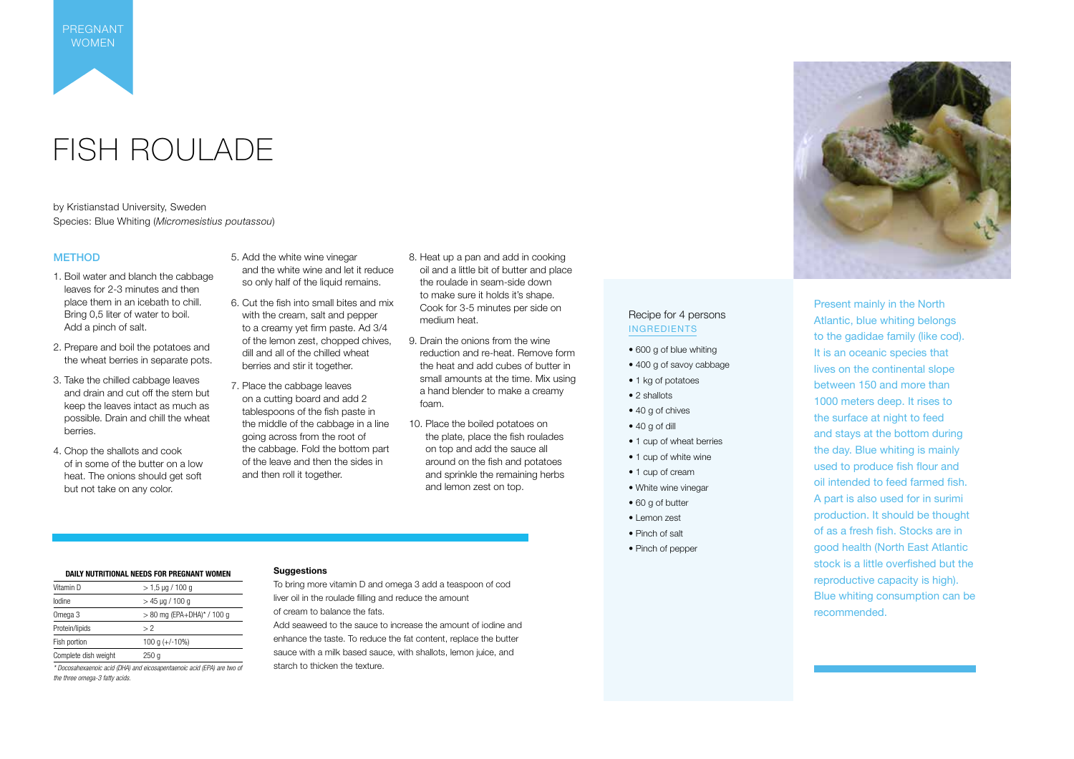### FISH ROULADE

by Kristianstad University, Sweden Species: Blue Whiting (*Micromesistius poutassou*)

> Present mainly in the North Atlantic, blue whiting belongs to the gadidae family (like cod). It is an oceanic species that lives on the continental slope between 150 and more than 1000 meters deep. It rises to the surface at night to feed and stays at the bottom during the day. Blue whiting is mainly used to produce fish flour and oil intended to feed farmed fish. A part is also used for in surimi production. It should be thought of as a fresh fish. Stocks are in good health (North East Atlantic stock is a little overfished but the reproductive capacity is high). Blue whiting consumption can be recommended.

#### METHOD

- 1. Boil water and blanch the cabbage leaves for 2-3 minutes and then place them in an icebath to chill. Bring 0,5 liter of water to boil. Add a pinch of salt.
- 2. Prepare and boil the potatoes and the wheat berries in separate pots.
- 3. Take the chilled cabbage leaves and drain and cut off the stem but keep the leaves intact as much as possible. Drain and chill the wheat berries.
- 4. Chop the shallots and cook of in some of the butter on a low heat. The onions should get soft but not take on any color.
- 5. Add the white wine vinegar and the white wine and let it reduce so only half of the liquid remains.
- 6. Cut the fish into small bites and mix with the cream, salt and pepper to a creamy yet firm paste. Ad 3/4 of the lemon zest, chopped chives, dill and all of the chilled wheat berries and stir it together.
- 7. Place the cabbage leaves on a cutting board and add 2 tablespoons of the fish paste in the middle of the cabbage in a line going across from the root of the cabbage. Fold the bottom part of the leave and then the sides in and then roll it together.
- 8. Heat up a pan and add in cooking oil and a little bit of butter and place the roulade in seam-side down to make sure it holds it's shape. Cook for 3-5 minutes per side on medium heat.
- 9. Drain the onions from the wine reduction and re-heat. Remove form the heat and add cubes of butter in small amounts at the time. Mix using a hand blender to make a creamy foam.
- 10. Place the boiled potatoes on the plate, place the fish roulades on top and add the sauce all around on the fish and potatoes and sprinkle the remaining herbs and lemon zest on top.

#### Recipe for 4 persons INGREDIENTS

- 600 g of blue whiting
- 400 g of savoy cabbage
- 1 kg of potatoes
- 2 shallots
- 40 g of chives
- 40 g of dill
- 1 cup of wheat berries
- 1 cup of white wine
- 1 cup of cream
- White wine vinegar
- 60 g of butter
- Lemon zest
- Pinch of salt
- Pinch of pepper

<span id="page-8-0"></span>PREGNANT WOMEN

#### **Suggestions**

To bring more vitamin D and omega 3 add a teaspoon of cod liver oil in the roulade filling and reduce the amount of cream to balance the fats.

Add seaweed to the sauce to increase the amount of iodine and enhance the taste. To reduce the fat content, replace the butter

sauce with a milk based sauce, with shallots, lemon juice, and starch to thicken the texture.



#### **DAILY NUTRITIONAL NEEDS FOR PREGNANT WOMEN**

| Vitamin D            | $>$ 1.5 µg / 100 g           |
|----------------------|------------------------------|
| lodine               | $>$ 45 µg / 100 g            |
| Omega 3              | $> 80$ mg (EPA+DHA)* / 100 g |
| Protein/lipids       | > 2                          |
| Fish portion         | 100 g $(+/-10%)$             |
| Complete dish weight | 250 a                        |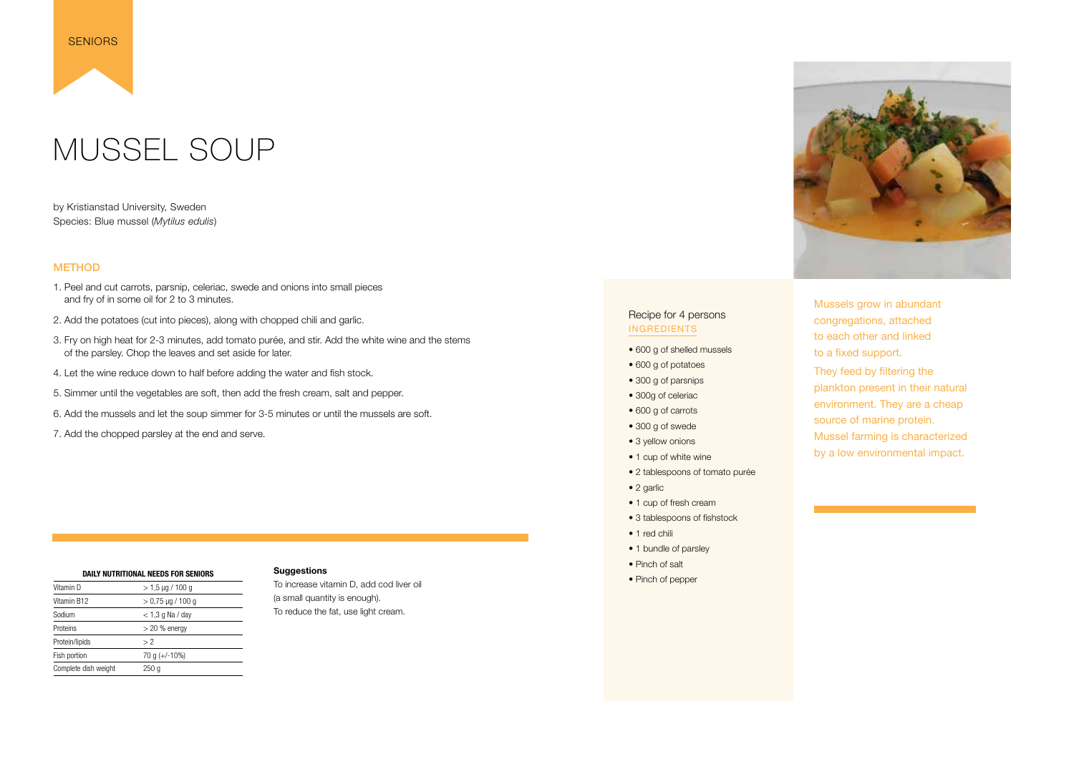### MUSSEL SOUP

by Kristianstad University, Sweden Species: Blue mussel (*Mytilus edulis*)

#### **METHOD**

<span id="page-9-0"></span>

- 1. Peel and cut carrots, parsnip, celeriac, swede and onions into small pieces and fry of in some oil for 2 to 3 minutes.
- 2. Add the potatoes (cut into pieces), along with chopped chili and garlic.
- 3. Fry on high heat for 2-3 minutes, add tomato purée, and stir. Add the white wine and the stems of the parsley. Chop the leaves and set aside for later.
- 4. Let the wine reduce down to half before adding the water and fish stock.
- 5. Simmer until the vegetables are soft, then add the fresh cream, salt and pepper.
- 6. Add the mussels and let the soup simmer for 3-5 minutes or until the mussels are soft.
- 7. Add the chopped parsley at the end and serve.

Mussels grow in abundant congregations, attached to each other and linked to a fixed support.

They feed by filtering the plankton present in their natural environment. They are a cheap source of marine protein. Mussel farming is characterized by a low environmental impact.

#### Recipe for 4 persons INGREDIENTS

- 600 g of shelled mussels
- 600 g of potatoes
- 300 g of parsnips
- 300g of celeriac
- 600 g of carrots
- 300 g of swede
- 3 yellow onions
- 1 cup of white wine
- 2 tablespoons of tomato purée
- 2 garlic
- 1 cup of fresh cream
- 3 tablespoons of fishstock
- 1 red chili
- 1 bundle of parsley
- Pinch of salt
- Pinch of pepper



#### **Suggestions**

To increase vitamin D, add cod liver oil (a small quantity is enough). To reduce the fat, use light cream.

| DAILY NUTRITIONAL NEEDS FOR SENIORS |                        |  |
|-------------------------------------|------------------------|--|
| Vitamin D                           | $>$ 1,5 µg / 100 g     |  |
| Vitamin B12                         | $> 0.75 \mu g / 100 g$ |  |
| Sodium                              | $<$ 1,3 g Na / day     |  |
| Proteins                            | $>$ 20 % energy        |  |
| Protein/lipids                      | > 2                    |  |
| Fish portion                        | 70 g (+/-10%)          |  |
| Complete dish weight                | 250 q                  |  |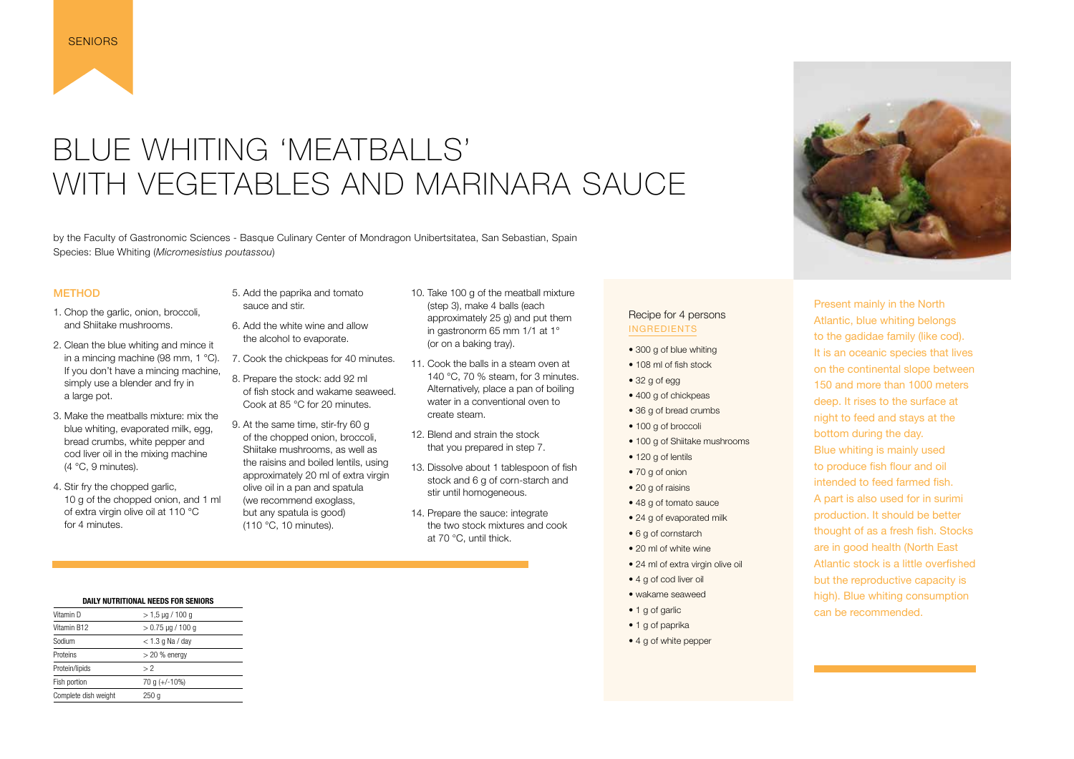### <span id="page-10-0"></span>BLUE WHITING 'MEATBALLS' WITH VEGETABLES AND MARINARA SAUCE

by the Faculty of Gastronomic Sciences - Basque Culinary Center of Mondragon Unibertsitatea, San Sebastian, Spain Species: Blue Whiting (*Micromesistius poutassou*)

#### **METHOD**

- 1. Chop the garlic, onion, broccoli, and Shiitake mushrooms.
- 2. Clean the blue whiting and mince it in a mincing machine (98 mm, 1 °C). If you don't have a mincing machine, simply use a blender and fry in a large pot.
- 3. Make the meatballs mixture: mix the blue whiting, evaporated milk, egg, bread crumbs, white pepper and cod liver oil in the mixing machine  $(4 °C, 9$  minutes).
- 4. Stir fry the chopped garlic, 10 g of the chopped onion, and 1 ml of extra virgin olive oil at 110 °C for 4 minutes.
- 5. Add the paprika and tomato sauce and stir.
- 6. Add the white wine and allow the alcohol to evaporate.
- 7. Cook the chickpeas for 40 minutes.
- 8. Prepare the stock: add 92 ml of fish stock and wakame seaweed. Cook at 85 °C for 20 minutes.
- 9. At the same time, stir-fry 60 g of the chopped onion, broccoli, Shiitake mushrooms, as well as the raisins and boiled lentils, using approximately 20 ml of extra virgin olive oil in a pan and spatula (we recommend exoglass, but any spatula is good) (110 °C, 10 minutes).
- 10. Take 100 g of the meatball mixture (step 3), make 4 balls (each approximately 25 g) and put them in gastronorm 65 mm 1/1 at 1° (or on a baking tray).
- 11. Cook the balls in a steam oven at 140 °C, 70 % steam, for 3 minutes. Alternatively, place a pan of boiling water in a conventional oven to create steam.
- 12. Blend and strain the stock that you prepared in step 7.
- 13. Dissolve about 1 tablespoon of fish stock and 6 g of corn-starch and stir until homogeneous.
- 14. Prepare the sauce: integrate the two stock mixtures and cook at 70 °C, until thick.
- 300 g of blue whiting
- 108 ml of fish stock
- 32 g of egg
- 400 g of chickpeas
- 36 g of bread crumbs
- 100 g of broccoli
- 100 g of Shiitake mushrooms
- 120 g of lentils
- 70 g of onion
- 20 g of raisins
- 48 g of tomato sauce
- 24 g of evaporated milk
- 6 g of cornstarch
- 20 ml of white wine
- 24 ml of extra virgin olive oil
- 4 a of cod liver oil
- wakame seaweed
- 1 g of garlic
- 1 g of paprika
- 4 g of white pepper

Present mainly in the North Atlantic, blue whiting belongs to the gadidae family (like cod). It is an oceanic species that lives on the continental slope between 150 and more than 1000 meters deep. It rises to the surface at night to feed and stays at the bottom during the day. Blue whiting is mainly used to produce fish flour and oil intended to feed farmed fish. A part is also used for in surimi production. It should be better thought of as a fresh fish. Stocks are in good health (North East Atlantic stock is a little overfished but the reproductive capacity is high). Blue whiting consumption can be recommended.

#### Recipe for 4 persons INGREDIENTS

| Vitamin D            | $> 1.5 \mu g / 100 g$ |
|----------------------|-----------------------|
| Vitamin B12          | $> 0.75$ µg / 100 g   |
| Sodium               | $<$ 1.3 g Na / day    |
| Proteins             | $>$ 20 % energy       |
| Protein/lipids       | > 2                   |
| Fish portion         | 70 g $(+/-10\%)$      |
| Complete dish weight | 250 g                 |

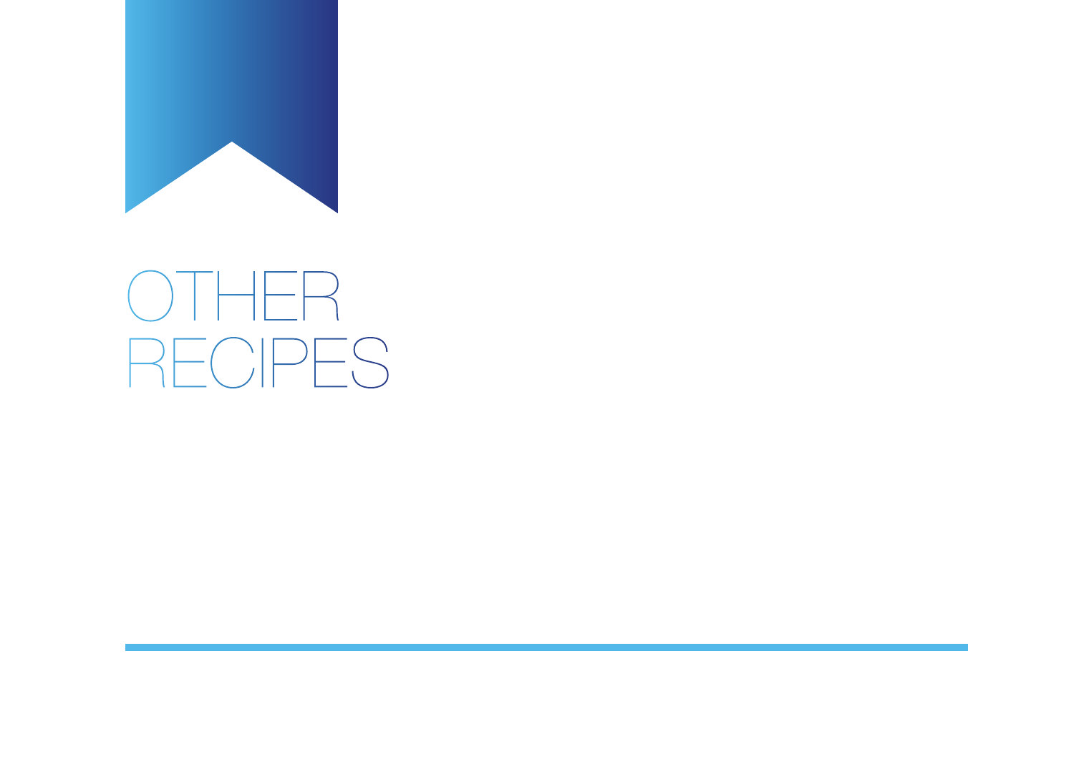<span id="page-11-0"></span>

# OTHER RECIPES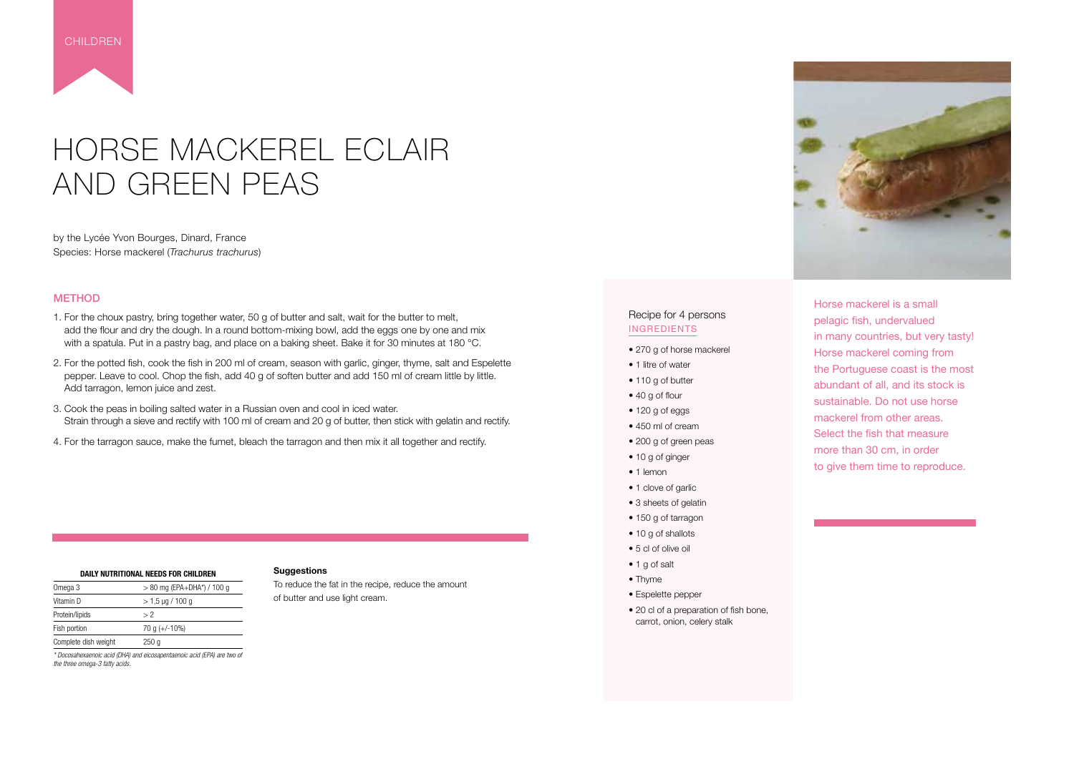### HORSE MACKEREL ECLAIR AND GREEN PEAS

by the Lycée Yvon Bourges, Dinard, France Species: Horse mackerel (*Trachurus trachurus*)

#### **METHOD**

- 1. For the choux pastry, bring together water, 50 g of butter and salt, wait for the butter to melt, add the flour and dry the dough. In a round bottom-mixing bowl, add the eggs one by one and mix with a spatula. Put in a pastry bag, and place on a baking sheet. Bake it for 30 minutes at 180 °C.
- 2. For the potted fish, cook the fish in 200 ml of cream, season with garlic, ginger, thyme, salt and Espelette pepper. Leave to cool. Chop the fish, add 40 g of soften butter and add 150 ml of cream little by little. Add tarragon, lemon juice and zest.
- 3. Cook the peas in boiling salted water in a Russian oven and cool in iced water. Strain through a sieve and rectify with 100 ml of cream and 20 g of butter, then stick with gelatin and rectify.
- 4. For the tarragon sauce, make the fumet, bleach the tarragon and then mix it all together and rectify.

#### **DAILY NUTRITIONAL NEEDS FOR CHILDREN**  Omega 3 > 80 mg (EPA+DHA\*) / 100 g Vitamin D  $> 1.5 \mu g / 100 g$ Protein/lipids > 2 Fish portion  $70 g (+/-10%)$ Complete dish weight 250 g

<span id="page-12-0"></span>

Horse mackerel is a small pelagic fish, undervalued in many countries, but very tasty!
 Horse mackerel coming from the Portuguese coast is the most abundant of all, and its stock is sustainable. Do not use horse mackerel from other areas. Select the fish that measure more than 30 cm, in order to give them time to reproduce.

#### Recipe for 4 persons INGREDIENTS

- 270 g of horse mackerel
- 1 litre of water
- 110 g of butter
- 40 g of flour
- 120 g of eggs
- 450 ml of cream
- 200 g of green peas
- 10 g of ginger
- 1 lemon
- 1 clove of garlic
- 3 sheets of gelatin
- 150 g of tarragon
- 10 g of shallots
- 5 cl of olive oil
- 1 g of salt
- Thyme
- Espelette pepper
- 20 cl of a preparation of fish bone, carrot, onion, celery stalk



#### **Suggestions**

To reduce the fat in the recipe, reduce the amount of butter and use light cream.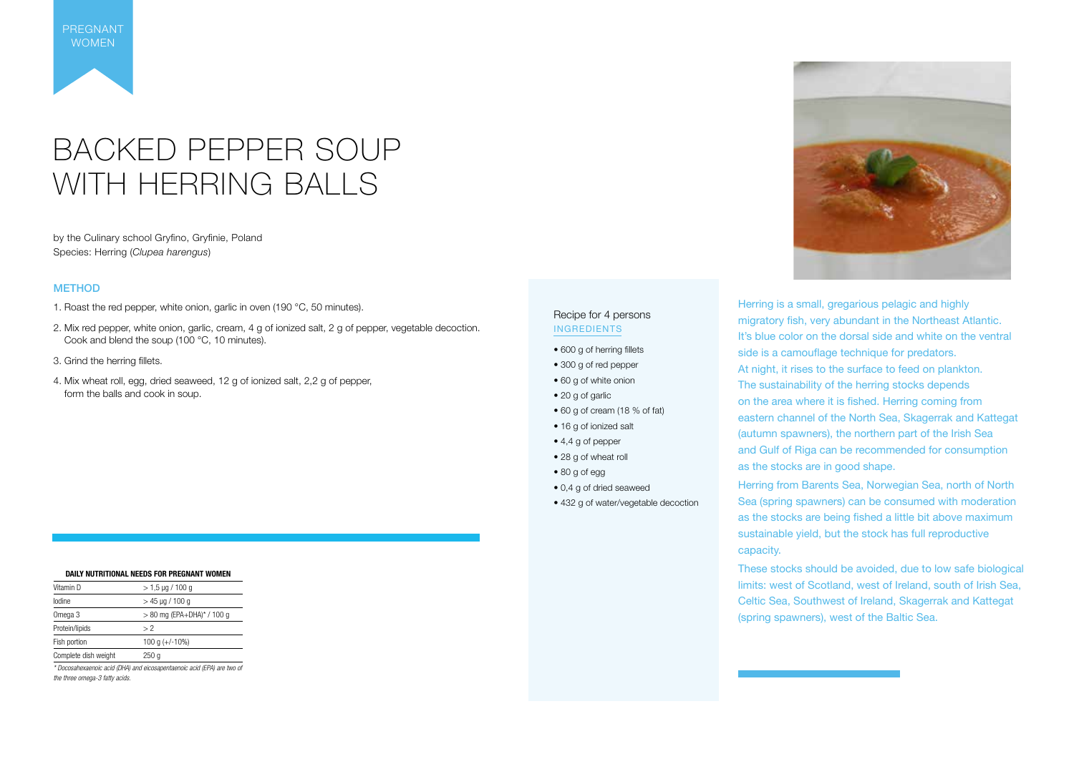

by the Culinary school Gryfino, Gryfinie, Poland Species: Herring (*Clupea harengus*)

> Herring is a small, gregarious pelagic and highly migratory fish, very abundant in the Northeast Atlantic. It's blue color on the dorsal side and white on the ventral side is a camouflage technique for predators. At night, it rises to the surface to feed on plankton. The sustainability of the herring stocks depends on the area where it is fished. Herring coming from eastern channel of the North Sea,
>  Skagerrak and Kattegat (autumn spawners), the northern part of the Irish Sea and Gulf of Riga can be recommended for consumption as the stocks are in good shape. Herring from Barents Sea, Norwegian Sea, north of North Sea (spring spawners) can be consumed with moderation as the stocks are being fished a little bit above maximum sustainable yield, but the stock has full reproductive capacity.

These stocks should be avoided, due to low safe biological limits: west of Scotland, west of Ireland, south of Irish Sea, Celtic Sea, Southwest of Ireland, Skagerrak and Kattegat (spring spawners), west of the Baltic Sea.



#### METHOD

- 1. Roast the red pepper, white onion, garlic in oven (190 °C, 50 minutes).
- 2. Mix red pepper, white onion, garlic, cream, 4 g of ionized salt, 2 g of pepper, vegetable decoction. Cook and blend the soup (100 °C, 10 minutes).
- 3. Grind the herring fillets.
- 4. Mix wheat roll, egg, dried seaweed, 12 g of ionized salt, 2,2 g of pepper, form the balls and cook in soup.

#### Recipe for 4 persons INGREDIENTS

- 600 g of herring fillets
- 300 g of red pepper
- 60 g of white onion
- 20 g of garlic
- 60 g of cream (18 % of fat)
- 16 g of ionized salt
- 4,4 g of pepper
- 28 g of wheat roll
- 80 g of egg
- 0,4 g of dried seaweed
- 432 g of water/vegetable decoction

<span id="page-13-0"></span>PREGNANT WOMEN

|                | DAILY NUTRITIONAL NEEDS FOR PREGNANT WOMEN |
|----------------|--------------------------------------------|
| Vitamin D      | $> 1.5$ µg / 100 g                         |
| lodine         | $>$ 45 µg / 100 g                          |
| Omega 3        | $> 80$ mg (EPA+DHA)* / 100 g               |
| Protein/lipids | > 2                                        |
| Fish portion   | 100 g $(+/-10\%)$                          |

Complete dish weight 250 g *\* Docosahexaenoic acid (DHA) and eicosapentaenoic acid (EPA) are two of* 

*the three omega-3 fatty acids.*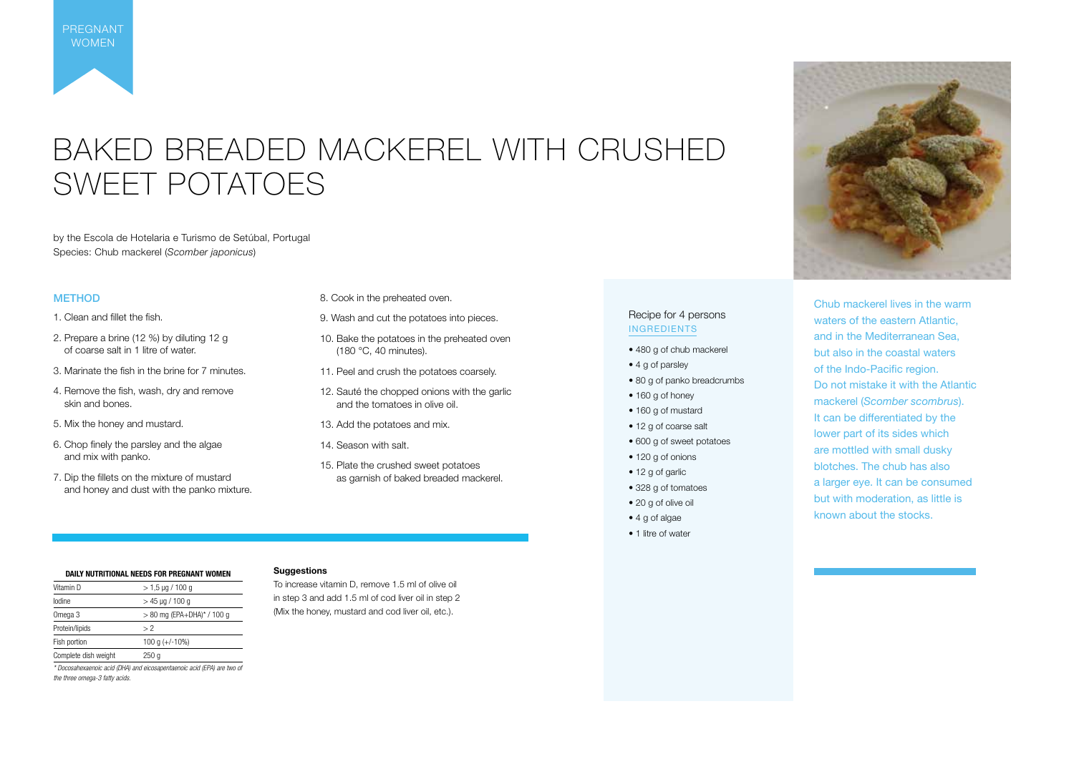### BAKED BREADED MACKEREL WITH CRUSHED SWEET POTATOES

by the Escola de Hotelaria e Turismo de Setúbal, Portugal Species: Chub mackerel (*Scomber japonicus*)

#### **METHOD**

Chub mackerel lives in the warm waters of the eastern Atlantic, and in the Mediterranean Sea, but also in the coastal waters of the Indo-Pacific region. Do not mistake it with the Atlantic mackerel (*Scomber scombrus*). It can be differentiated by the lower part of its sides which are mottled with small dusky blotches. The chub has also a larger eye. It can be consumed but with moderation, as little is known about the stocks.

- 480 g of chub mackerel
- 4 g of parsley
- 80 g of panko breadcrumbs
- 160 g of honey
- 160 g of mustard
- 12 g of coarse salt
- 600 g of sweet potatoes
- 120 g of onions
- 12 g of garlic
- 328 g of tomatoes
- 20 g of olive oil
- 4 g of algae
- 1 litre of water
- 1. Clean and fillet the fish.
- 2. Prepare a brine (12 %) by diluting 12 g of coarse salt in 1 litre of water.
- 3. Marinate the fish in the brine for 7 minutes.
- 4. Remove the fish, wash, dry and remove skin and bones.
- 5. Mix the honey and mustard.
- 6. Chop finely the parsley and the algae and mix with panko.
- 7. Dip the fillets on the mixture of mustard and honey and dust with the panko mixture.
- 8. Cook in the preheated oven.
- 9. Wash and cut the potatoes into pieces.
- 10. Bake the potatoes in the preheated oven (180 °C, 40 minutes).
- 11. Peel and crush the potatoes coarsely.
- 12. Sauté the chopped onions with the garlic and the tomatoes in olive oil.
- 13. Add the potatoes and mix.
- 14. Season with salt.
- 15. Plate the crushed sweet potatoes as garnish of baked breaded mackerel.

#### Recipe for 4 persons INGREDIENTS

<span id="page-14-0"></span>

#### **Suggestions**

To increase vitamin D, remove 1.5 ml of olive oil in step 3 and add 1.5 ml of cod liver oil in step 2 (Mix the honey, mustard and cod liver oil, etc.).



**DAILY NUTRITIONAL NEEDS FOR PREGNANT WOMEN** Vitamin D  $> 1.5 \text{ µq} / 100 \text{ q}$  $I_{\text{odine}}$   $>$  45  $\mu$ g / 100 g Omega 3 > 80 mg (EPA+DHA)\* / 100 g Protein/lipids > 2 Fish portion  $100 g (+/-10%)$ Complete dish weight 250 g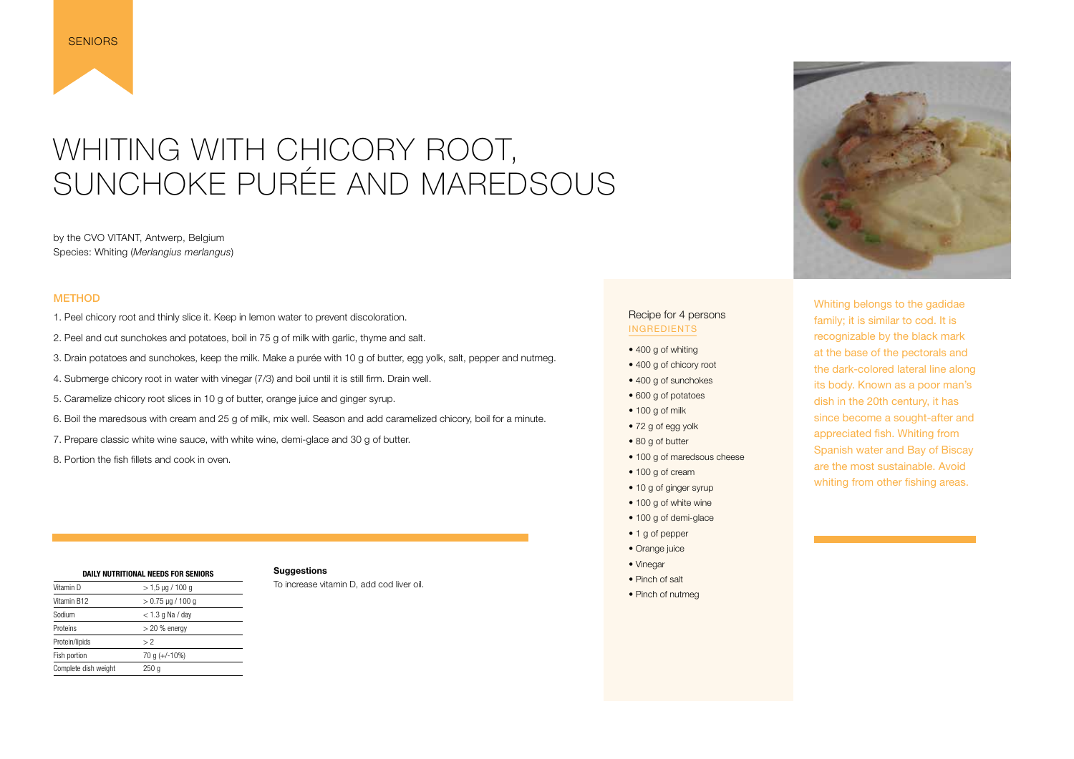### WHITING WITH CHICORY ROOT, SUNCHOKE PURÉE AND MAREDSOUS

by the CVO VITANT, Antwerp, Belgium Species: Whiting (*Merlangius merlangus*)

#### **METHOD**

<span id="page-15-0"></span>

- 1. Peel chicory root and thinly slice it. Keep in lemon water to prevent discoloration.
- 2. Peel and cut sunchokes and potatoes, boil in 75 g of milk with garlic, thyme and salt.
- 3. Drain potatoes and sunchokes, keep the milk. Make a purée with 10 g of butter, egg yolk, salt, pepper and nutmeg.
- 4. Submerge chicory root in water with vinegar (7/3) and boil until it is still firm. Drain well.
- 5. Caramelize chicory root slices in 10 g of butter, orange juice and ginger syrup.
- 6. Boil the maredsous with cream and 25 g of milk, mix well. Season and add caramelized chicory, boil for a minute.
- 7. Prepare classic white wine sauce, with white wine, demi-glace and 30 g of butter.
- 8. Portion the fish fillets and cook in oven.
- 400 g of whiting
- 400 g of chicory root
- 400 g of sunchokes
- 600 g of potatoes
- 100 g of milk
- 72 g of egg yolk
- 80 g of butter
- 100 g of maredsous cheese
- 100 g of cream
- 10 g of ginger syrup
- 100 g of white wine
- 100 g of demi-glace
- 1 g of pepper
- Orange juice
- Vinegar
- Pinch of salt
- Pinch of nutmeg



Whiting belongs to the gadidae family; it is similar to cod. 
It is recognizable by the black mark at the base of the pectorals and the dark-colored lateral line along its body.
 Known as a poor man's dish in the 20th century, it has since become a sought-after and appreciated fish. Whiting from Spanish water and Bay of Biscay are the most sustainable. Avoid whiting from other fishing areas.

#### Recipe for 4 persons INGREDIENTS

| DAILY NUTRITIONAL NEEDS FOR SENIORS |                        |  |
|-------------------------------------|------------------------|--|
| Vitamin D                           | $>$ 1,5 µg / 100 g     |  |
| Vitamin B12                         | $> 0.75 \mu g / 100 g$ |  |
| Sodium                              | $<$ 1.3 g Na / day     |  |
| Proteins                            | $>$ 20 % energy        |  |
| Protein/lipids                      | >2                     |  |
| Fish portion                        | 70 g $(+/-10%)$        |  |
| Complete dish weight                | 250 g                  |  |

#### **Suggestions**

To increase vitamin D, add cod liver oil.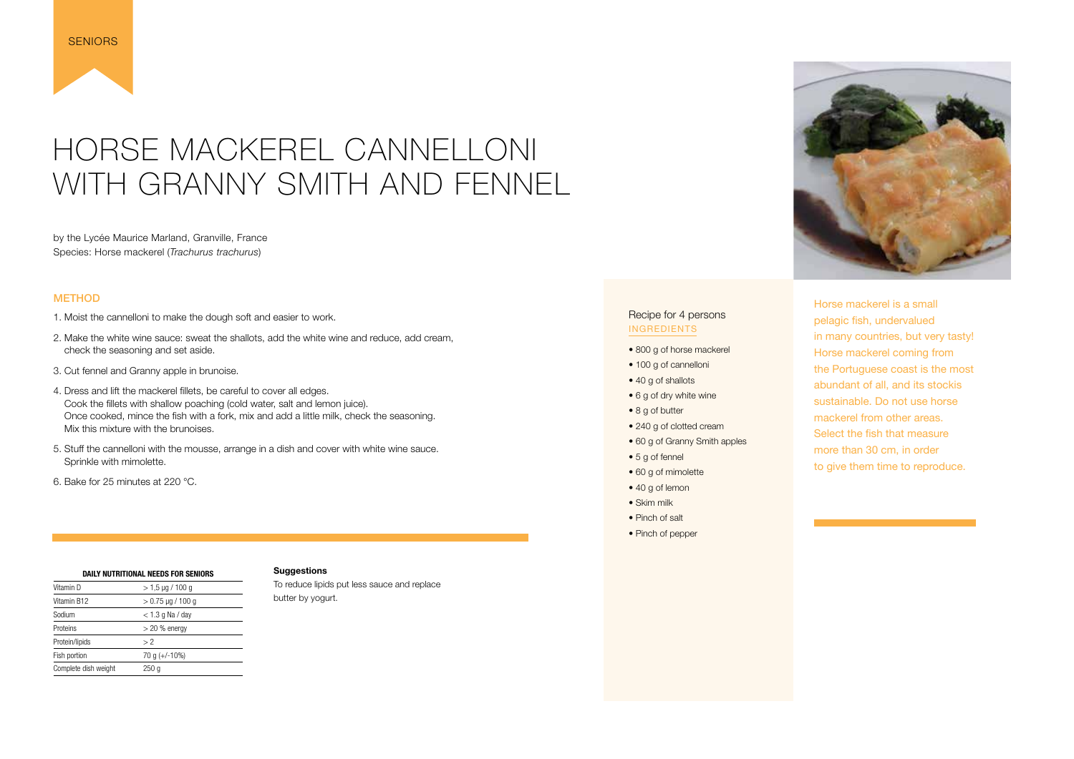### HORSE MACKEREL CANNELLONI WITH GRANNY SMITH AND FENNEL

by the Lycée Maurice Marland, Granville, France Species: Horse mackerel (*Trachurus trachurus*)

#### **METHOD**

<span id="page-16-0"></span>

- 1. Moist the cannelloni to make the dough soft and easier to work.
- 2. Make the white wine sauce: sweat the shallots, add the white wine and reduce, add cream, check the seasoning and set aside.
- 3. Cut fennel and Granny apple in brunoise.
- 4. Dress and lift the mackerel fillets, be careful to cover all edges. Cook the fillets with shallow poaching (cold water, salt and lemon juice). Once cooked, mince the fish with a fork, mix and add a little milk, check the seasoning. Mix this mixture with the brunoises.
- 5. Stuff the cannelloni with the mousse, arrange in a dish and cover with white wine sauce. Sprinkle with mimolette.
- 6. Bake for 25 minutes at 220 °C.

Horse mackerel is a small pelagic fish, undervalued in many countries, but very tasty!
 Horse mackerel coming from the Portuguese coast is the most abundant of all, and its stock
is sustainable. Do not use horse mackerel from other areas. Select the fish that measure more than 30 cm, in order to give them time to reproduce.

#### Recipe for 4 persons INGREDIENTS

- 800 g of horse mackerel
- 100 g of cannelloni
- 40 g of shallots
- 6 g of dry white wine
- 8 g of butter
- 240 g of clotted cream
- 60 g of Granny Smith apples
- 5 g of fennel
- 60 g of mimolette
- 40 g of lemon
- Skim milk
- Pinch of salt
- Pinch of pepper



| DAILY NUTRITIONAL NEEDS FOR SENIORS |                       |  |
|-------------------------------------|-----------------------|--|
| Vitamin D                           | $> 1.5 \mu g / 100 g$ |  |
| Vitamin B12                         | $> 0.75$ µg / 100 g   |  |
| Sodium                              | $<$ 1.3 g Na / day    |  |
| Proteins                            | $>$ 20 % energy       |  |
| Protein/lipids                      | > 2                   |  |
| Fish portion                        | 70 g (+/-10%)         |  |
| Complete dish weight                | 250 g                 |  |

#### **Suggestions**

To reduce lipids put less sauce and replace butter by yogurt.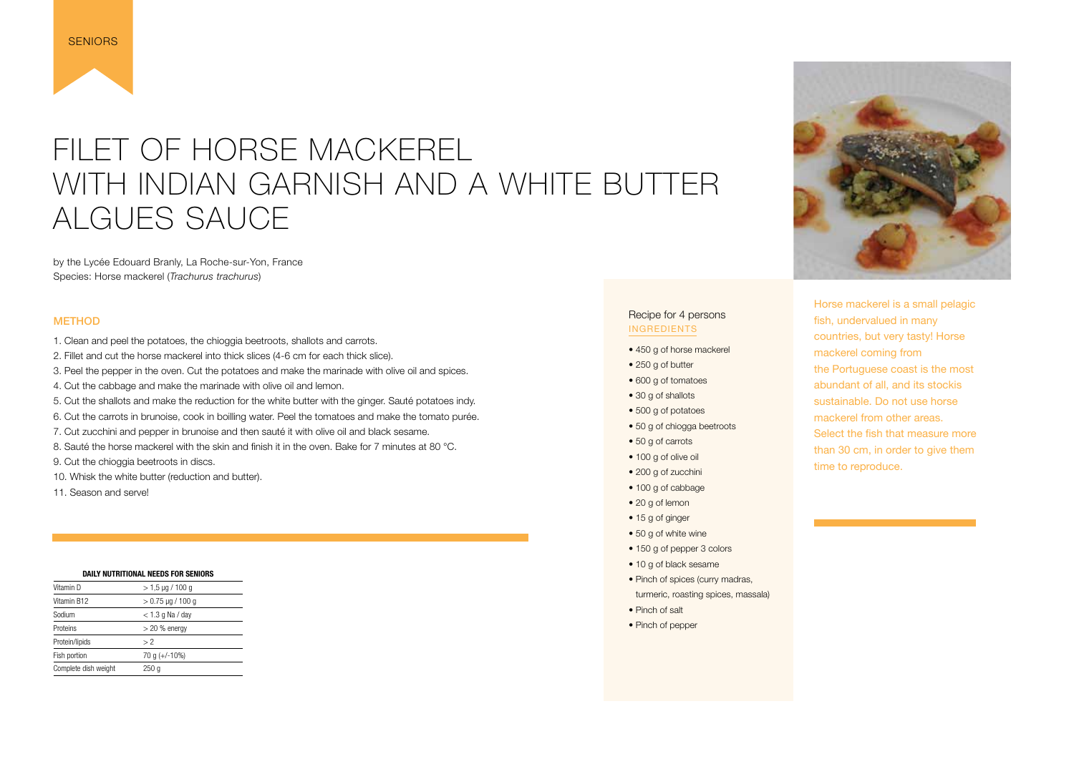### FILET OF HORSE MACKEREL WITH INDIAN GARNISH AND A WHITE BUTTER ALGUES SAUCE

by the Lycée Edouard Branly, La Roche-sur-Yon, France Species: Horse mackerel (*Trachurus trachurus*)

<span id="page-17-0"></span>

#### METHOD

- 1. Clean and peel the potatoes, the chioggia beetroots, shallots and carrots.
- 2. Fillet and cut the horse mackerel into thick slices (4-6 cm for each thick slice).
- 3. Peel the pepper in the oven. Cut the potatoes and make the marinade with olive oil and spices.
- 4. Cut the cabbage and make the marinade with olive oil and lemon.
- 5. Cut the shallots and make the reduction for the white butter with the ginger. Sauté potatoes indy.
- 6. Cut the carrots in brunoise, cook in boilling water. Peel the tomatoes and make the tomato purée.
- 7. Cut zucchini and pepper in brunoise and then sauté it with olive oil and black sesame.
- 8. Sauté the horse mackerel with the skin and finish it in the oven. Bake for 7 minutes at 80 °C.

9. Cut the chioggia beetroots in discs.

- 10. Whisk the white butter (reduction and butter).
- 11. Season and serve!

Horse mackerel is a small pelagic fish, undervalued in many countries, but very tasty!
 Horse mackerel coming from the Portuguese coast is the most abundant of all, and its stock
is sustainable. Do not use horse mackerel from other areas. Select the fish that measure more than 30 cm, in order to give them time to reproduce.

#### Recipe for 4 persons INGREDIENTS

- 450 g of horse mackerel
- 250 g of butter
- 600 g of tomatoes
- 30 g of shallots
- 500 g of potatoes
- 50 g of chiogga beetroots
- 50 g of carrots
- 100 g of olive oil
- 200 g of zucchini
- 100 g of cabbage
- 20 g of lemon
- 15 g of ginger
- 50 g of white wine
- 150 g of pepper 3 colors
- 10 g of black sesame
- Pinch of spices (curry madras, turmeric, roasting spices, massala)
- Pinch of salt
- Pinch of pepper



| DAILY NUTRITIONAL NEEDS FOR SENIORS |                     |  |
|-------------------------------------|---------------------|--|
| Vitamin D                           | $>$ 1,5 µg / 100 g  |  |
| Vitamin B12                         | $> 0.75$ µg / 100 g |  |
| Sodium                              | $<$ 1.3 g Na / day  |  |
| Proteins                            | $>$ 20 % energy     |  |
| Protein/lipids                      | > 2                 |  |
| Fish portion                        | 70 g $(+/-10\%)$    |  |
| Complete dish weight                | 250 q               |  |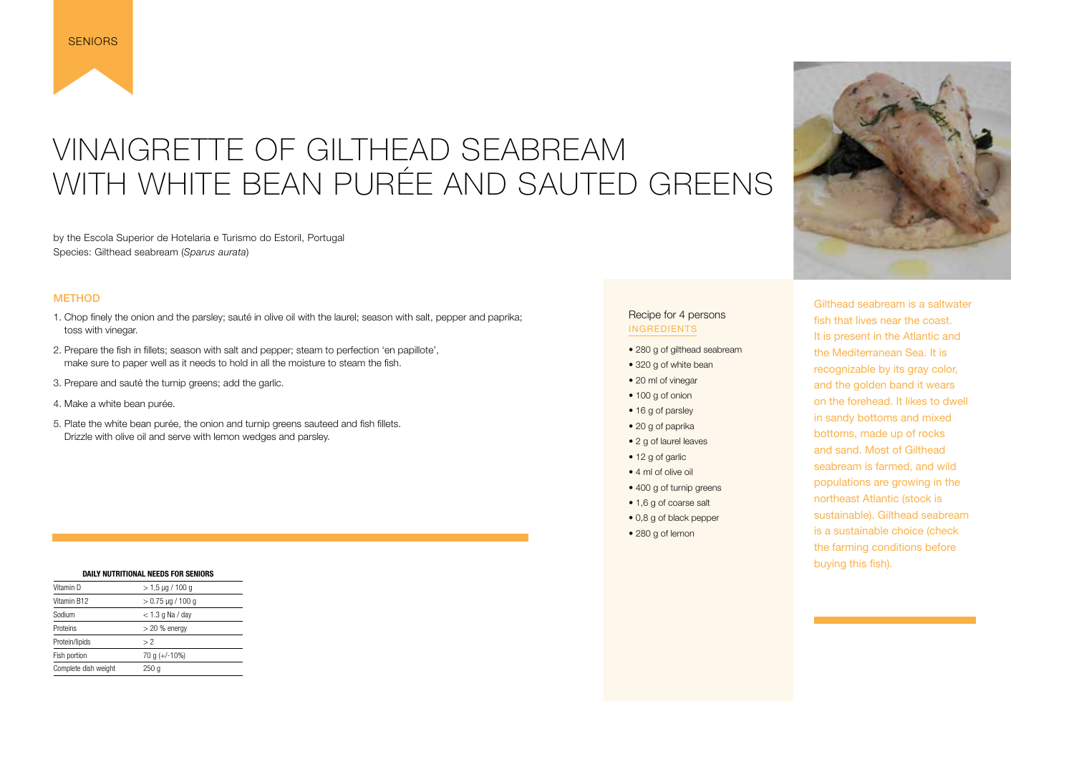### <span id="page-18-0"></span>VINAIGRETTE OF GILTHEAD SEABREAM WITH WHITE BEAN PURÉE AND SAUTED GREENS

by the Escola Superior de Hotelaria e Turismo do Estoril, Portugal Species: Gilthead seabream (*Sparus aurata*)

#### **METHOD**

- 1. Chop finely the onion and the parsley; sauté in olive oil with the laurel; season with salt, pepper and paprika; toss with vinegar.
- 2. Prepare the fish in fillets; season with salt and pepper; steam to perfection 'en papillote', make sure to paper well as it needs to hold in all the moisture to steam the fish.
- 3. Prepare and sauté the turnip greens; add the garlic.
- 4. Make a white bean purée.
- 5. Plate the white bean purée, the onion and turnip greens sauteed and fish fillets. Drizzle with olive oil and serve with lemon wedges and parsley.

Gilthead seabream is a saltwater fish that lives near the coast. It is present in the Atlantic and the Mediterranean Sea. It is recognizable by its gray color, and the golden band it wears on the forehead. It likes to dwell in sandy bottoms and mixed bottoms, made up of rocks and sand. Most of Gilthead seabream is farmed, and wild populations are growing in the northeast Atlantic (stock is sustainable). Gilthead seabream is a sustainable choice (check the farming conditions before buying this fish).

#### Recipe for 4 persons INGREDIENTS

- 280 g of gilthead seabream
- 320 g of white bean
- 20 ml of vinegar
- 100 g of onion
- 16 g of parsley
- 20 g of paprika
- 2 g of laurel leaves
- 12 g of garlic
- 4 ml of olive oil
- 400 g of turnip greens
- 1,6 g of coarse salt
- 0,8 g of black pepper
- 280 g of lemon



| <b>DAILY NUTRITIONAL NEEDS FOR SENIORS</b> |                     |  |
|--------------------------------------------|---------------------|--|
| Vitamin D                                  | $>$ 1,5 µg / 100 g  |  |
| Vitamin B12                                | $> 0.75$ µg / 100 g |  |
| Sodium                                     | $<$ 1.3 g Na / day  |  |
| Proteins                                   | $>$ 20 % energy     |  |
| Protein/lipids                             | >2                  |  |
| Fish portion                               | 70 g $(+/-10\%)$    |  |
| Complete dish weight                       | 250 q               |  |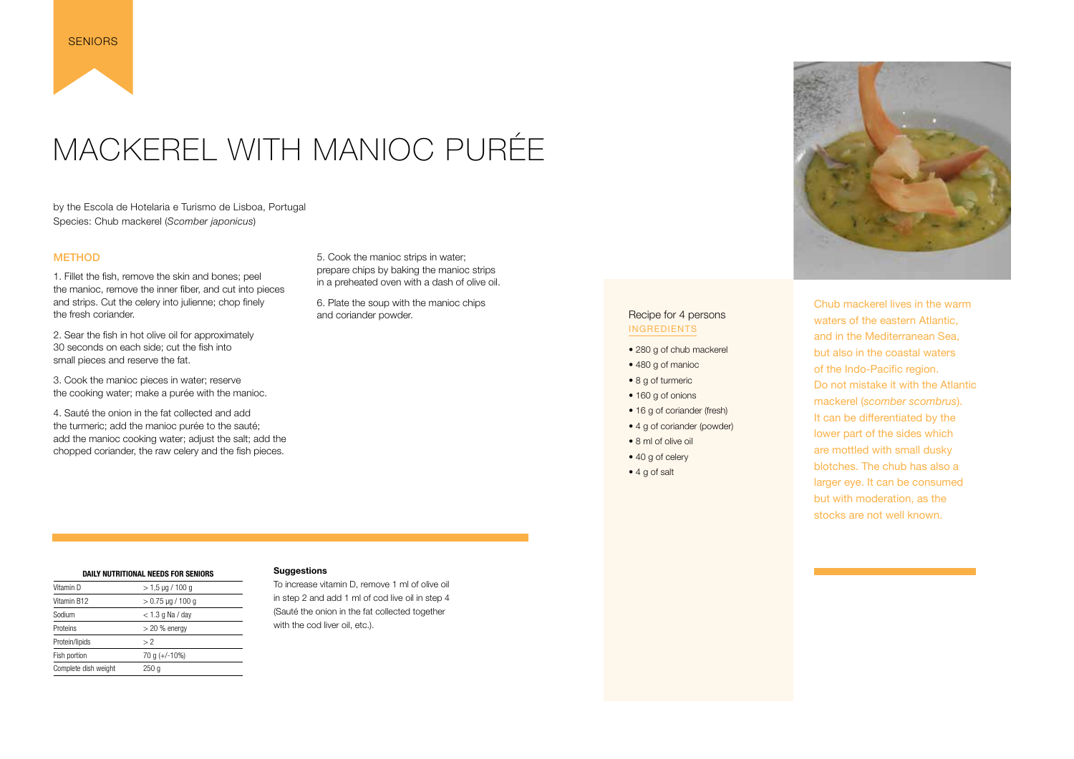## <span id="page-19-0"></span>MACKEREL WITH MANIOC PURÉE

by the Escola de Hotelaria e Turismo de Lisboa, Portugal Species: Chub mackerel (*Scomber japonicus*)

#### **METHOD**

1. Fillet the fish, remove the skin and bones; peel the manioc, remove the inner fiber, and cut into pieces and strips. Cut the celery into julienne; chop finely the fresh coriander.

2. Sear the fish in hot olive oil for approximately 30 seconds on each side; cut the fish into small pieces and reserve the fat.

3. Cook the manioc pieces in water; reserve the cooking water; make a purée with the manioc.

4. Sauté the onion in the fat collected and add the turmeric; add the manioc purée to the sauté; add the manioc cooking water; adjust the salt; add the chopped coriander, the raw celery and the fish pieces.

5. Cook the manioc strips in water; prepare chips by baking the manioc strips in a preheated oven with a dash of olive oil.

6. Plate the soup with the manioc chips and coriander powder.

To increase vitamin D, remove 1 ml of olive oil in step 2 and add 1 ml of cod live oil in step 4 (Sauté the onion in the fat collected together with the cod liver oil, etc.).



Chub mackerel lives in the warm waters of the eastern Atlantic, and in the Mediterranean Sea, but also in the coastal waters of the Indo-Pacific region. Do not mistake it with the Atlantic mackerel (*scomber scombrus*). It can be differentiated by the lower part of the sides which are mottled with small dusky blotches. The chub has also a larger eye. It can be consumed but with moderation, as the stocks are not well known.

#### Recipe for 4 persons INGREDIENTS

- 280 g of chub mackerel
- 480 g of manioc
- 8 g of turmeric
- 160 g of onions
- 16 g of coriander (fresh)
- 4 g of coriander (powder)
- 8 ml of olive oil
- 40 g of celery
- 4 g of salt

| DAILY NUTRITIONAL NEEDS FOR SENIORS |                       |  |
|-------------------------------------|-----------------------|--|
| Vitamin D                           | $> 1.5 \mu g / 100 g$ |  |
| Vitamin B12                         | $> 0.75$ µg / 100 g   |  |
| Sodium                              | $<$ 1.3 g Na / day    |  |
| Proteins                            | $>$ 20 % energy       |  |
| Protein/lipids                      | > 2                   |  |
| Fish portion                        | 70 g $(+/-10\%)$      |  |
| Complete dish weight                | 250 q                 |  |

#### **Suggestions**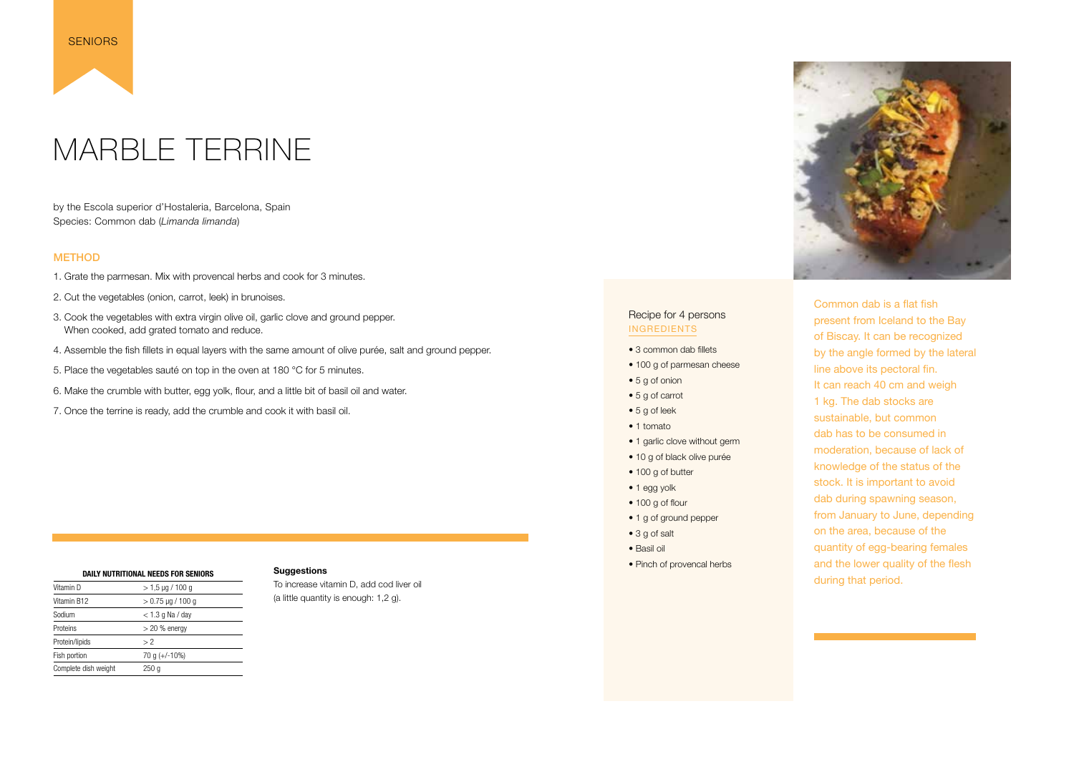### MARBLE TERRINE

by the Escola superior d'Hostaleria, Barcelona, Spain Species: Common dab (*Limanda limanda*)

#### **METHOD**

<span id="page-20-0"></span>

- 1. Grate the parmesan. Mix with provencal herbs and cook for 3 minutes.
- 2. Cut the vegetables (onion, carrot, leek) in brunoises.
- 3. Cook the vegetables with extra virgin olive oil, garlic clove and ground pepper. When cooked, add grated tomato and reduce.
- 4. Assemble the fish fillets in equal layers with the same amount of olive purée, salt and ground pepper.
- 5. Place the vegetables sauté on top in the oven at 180 °C for 5 minutes.
- 6. Make the crumble with butter, egg yolk, flour, and a little bit of basil oil and water.
- 7. Once the terrine is ready, add the crumble and cook it with basil oil.
- 3 common dab fillets
- 100 g of parmesan cheese
- 5 g of onion
- 5 g of carrot
- 5 g of leek
- 1 tomato
- 1 garlic clove without germ
- 10 g of black olive purée
- 100 g of butter
- 1 egg yolk
- 100 g of flour
- 1 g of ground pepper
- 3 g of salt
- Basil oil
- Pinch of provencal herbs



Common dab is a flat fish present from Iceland to the Bay of Biscay. 
It can be recognized by the angle formed by the lateral line above its pectoral fin. It can reach 40 cm and weigh 1 kg. The dab stocks are sustainable, but common dab has to
 be consumed in moderation, because of lack of knowledge of the status of the stock. It is important to avoid dab during spawning season, from January to June, depending on the area, because of the quantity of egg-bearing females and the lower quality of the flesh during that period.

#### Recipe for 4 persons INGREDIENTS

| DAILY NUTRITIONAL NEEDS FOR SENIORS |                     |  |
|-------------------------------------|---------------------|--|
| Vitamin D                           | $>$ 1,5 µg / 100 g  |  |
| Vitamin B12                         | $> 0.75$ µg / 100 g |  |
| Sodium                              | $<$ 1.3 g Na / day  |  |
| Proteins                            | $>$ 20 % energy     |  |
| Protein/lipids                      | > 2                 |  |
| Fish portion                        | 70 g $(+/-10\%)$    |  |
| Complete dish weight                | 250 g               |  |

#### **Suggestions**

To increase vitamin D, add cod liver oil (a little quantity is enough: 1,2 g).